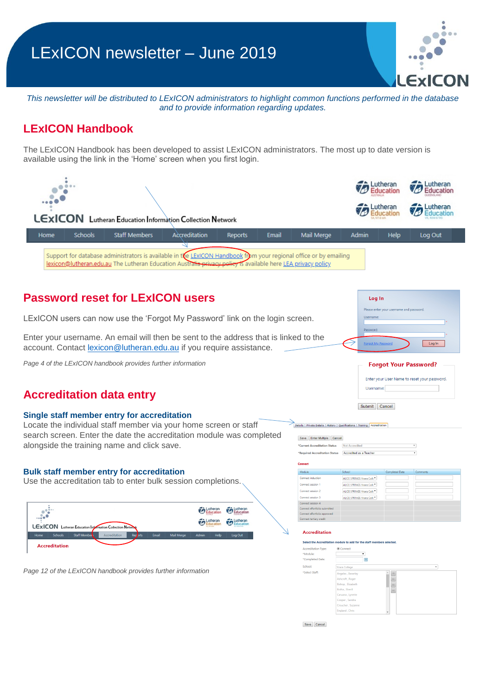# LExICON newsletter – June 2019

 $0.01$ ExIC

*This newsletter will be distributed to LExICON administrators to highlight common functions performed in the database and to provide information regarding updates.* 

## **LExICON Handbook**

The LExICON Handbook has been developed to assist LExICON administrators. The most up to date version is available using the link in the 'Home' screen when you first login.